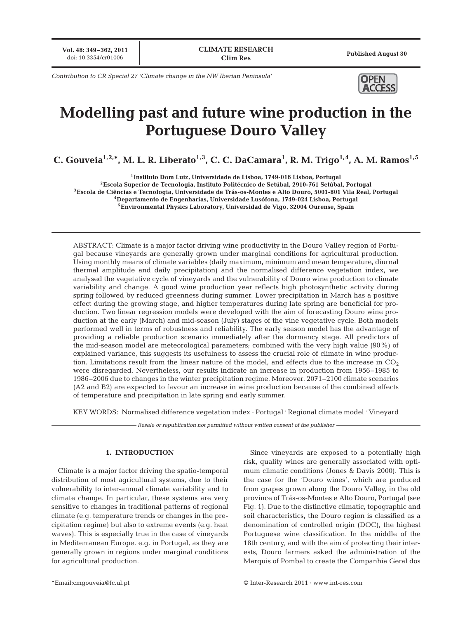**Vol. 48: 349–362, 2011**

*Contribution to CR Special 27 'Climate change in the NW Iberian Peninsula'*



# **Modelling past and future wine production in the Portuguese Douro Valley**

C. Gouveia<sup>1,2,</sup>\*, M. L. R. Liberato<sup>1,3</sup>, C. C. DaCamara<sup>1</sup>, R. M. Trigo<sup>1,4</sup>, A. M. Ramos<sup>1,5</sup>

**1Instituto Dom Luiz, Universidade de Lisboa, 1749-016 Lisboa, Portugal**

**2Escola Superior de Tecnologia, Instituto Politécnico de Setúbal, 2910-761 Setúbal, Portugal 3Escola de Ciências e Tecnologia, Universidade de Trás-os-Montes e Alto Douro, 5001-801 Vila Real, Portugal 4Departamento de Engenharias, Universidade Lusófona, 1749-024 Lisboa, Portugal 5Environmental Physics Laboratory, Universidad de Vigo, 32004 Ourense, Spain**

ABSTRACT: Climate is a major factor driving wine productivity in the Douro Valley region of Portugal because vineyards are generally grown under marginal conditions for agricultural production. Using monthly means of climate variables (daily maximum, minimum and mean temperature, diurnal thermal amplitude and daily precipitation) and the normalised difference vegetation index, we analysed the vegetative cycle of vineyards and the vulnerability of Douro wine production to climate variability and change. A good wine production year reflects high photosynthetic activity during spring followed by reduced greenness during summer. Lower precipitation in March has a positive effect during the growing stage, and higher temperatures during late spring are beneficial for production. Two linear regression models were developed with the aim of forecasting Douro wine production at the early (March) and mid-season (July) stages of the vine vegetative cycle. Both models performed well in terms of robustness and reliability. The early season model has the advantage of providing a reliable production scenario immediately after the dormancy stage. All predictors of the mid-season model are meteorological parameters; combined with the very high value (90%) of explained variance, this suggests its usefulness to assess the crucial role of climate in wine production. Limitations result from the linear nature of the model, and effects due to the increase in  $CO<sub>2</sub>$ were disregarded. Nevertheless, our results indicate an increase in production from 1956–1985 to 1986–2006 due to changes in the winter precipitation regime. Moreover, 2071–2100 climate scenarios (A2 and B2) are expected to favour an increase in wine production because of the combined effects of temperature and precipitation in late spring and early summer.

KEY WORDS: Normalised difference vegetation index · Portugal **.** Regional climate model **.** Vineyard

*Resale or republication not permitted without written consent of the publisher*

### **1. INTRODUCTION**

Climate is a major factor driving the spatio-temporal distribution of most agricultural systems, due to their vulnerability to inter-annual climate variability and to climate change. In particular, these systems are very sensitive to changes in traditional patterns of regional climate (e.g. temperature trends or changes in the precipitation regime) but also to extreme events (e.g. heat waves). This is especially true in the case of vineyards in Mediterranean Europe, e.g. in Portugal, as they are generally grown in regions under marginal conditions for agricultural production.

Since vineyards are exposed to a potentially high risk, quality wines are generally associated with optimum climatic conditions (Jones & Davis 2000). This is the case for the 'Douro wines', which are produced from grapes grown along the Douro Valley, in the old province of Trás-os-Montes e Alto Douro, Portugal (see Fig. 1). Due to the distinctive climatic, topographic and soil characteristics, the Douro region is classified as a denomination of controlled origin (DOC), the highest Portuguese wine classification. In the middle of the 18th century, and with the aim of protecting their interests, Douro farmers asked the administration of the Marquis of Pombal to create the Companhia Geral dos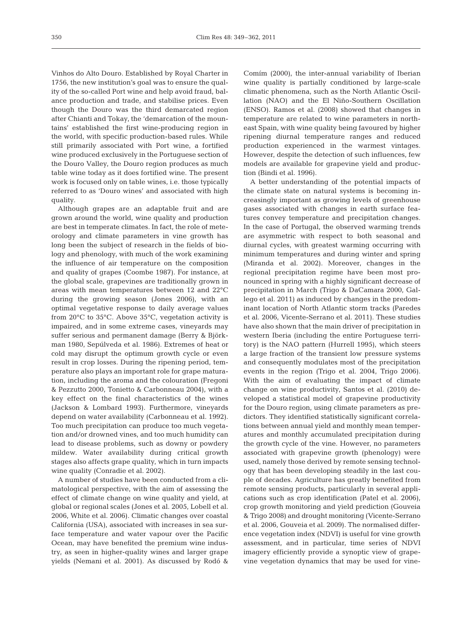Vinhos do Alto Douro. Established by Royal Charter in 1756, the new institution's goal was to ensure the quality of the so-called Port wine and help avoid fraud, balance production and trade, and stabilise prices. Even though the Douro was the third demarcated region after Chianti and Tokay, the 'demarcation of the mountains' established the first wine-producing region in the world, with specific production-based rules. While still primarily associated with Port wine, a fortified wine produced exclusively in the Portuguese section of the Douro Valley, the Douro region produces as much table wine today as it does fortified wine. The present work is focused only on table wines, i.e. those typically referred to as 'Douro wines' and associated with high quality.

Although grapes are an adaptable fruit and are grown around the world, wine quality and production are best in temperate climates. In fact, the role of meteorology and climate parameters in vine growth has long been the subject of research in the fields of biology and phenology, with much of the work examining the influence of air temperature on the composition and quality of grapes (Coombe 1987). For instance, at the global scale, grapevines are traditionally grown in areas with mean temperatures between 12 and 22°C during the growing season (Jones 2006), with an optimal vegetative response to daily average values from 20°C to 35°C. Above 35°C, vegetation activity is impaired, and in some extreme cases, vineyards may suffer serious and permanent damage (Berry & Björkman 1980, Sepúlveda et al. 1986). Extremes of heat or cold may disrupt the optimum growth cycle or even result in crop losses. During the ripening period, temperature also plays an important role for grape maturation, including the aroma and the colouration (Fregoni & Pezzutto 2000, Tonietto & Carbonneau 2004), with a key effect on the final characteristics of the wines (Jackson & Lombard 1993). Furthermore, vineyards depend on water availability (Carbonneau et al. 1992). Too much precipitation can produce too much vegetation and/or drowned vines, and too much humidity can lead to disease problems, such as downy or powdery mildew. Water availability during critical growth stages also affects grape quality, which in turn impacts wine quality (Conradie et al. 2002).

A number of studies have been conducted from a climatological perspective, with the aim of assessing the effect of climate change on wine quality and yield, at global or regional scales (Jones et al. 2005, Lobell et al. 2006, White et al. 2006). Climatic changes over coastal California (USA), associated with increases in sea surface temperature and water vapour over the Pacific Ocean, may have benefited the premium wine industry, as seen in higher-quality wines and larger grape yields (Nemani et al. 2001). As discussed by Rodó &

Comím (2000), the inter-annual variability of Iberian wine quality is partially conditioned by large-scale climatic phenomena, such as the North Atlantic Oscillation (NAO) and the El Niño-Southern Oscillation (ENSO). Ramos et al. (2008) showed that changes in temperature are related to wine parameters in northeast Spain, with wine quality being favoured by higher ripening diurnal temperature ranges and reduced production experienced in the warmest vintages. However, despite the detection of such influences, few models are available for grapevine yield and production (Bindi et al. 1996).

A better understanding of the potential impacts of the climate state on natural systems is becoming in creasingly important as growing levels of greenhouse gases associated with changes in earth surface features convey temperature and precipitation changes. In the case of Portugal, the observed warming trends are asymmetric with respect to both seasonal and diurnal cycles, with greatest warming occurring with minimum temperatures and during winter and spring (Miranda et al. 2002). Moreover, changes in the regional precipitation regime have been most pronounced in spring with a highly significant decrease of precipitation in March (Trigo & DaCamara 2000, Gallego et al. 2011) as induced by changes in the predominant location of North Atlantic storm tracks (Paredes et al. 2006, Vicente-Serrano et al. 2011). These studies have also shown that the main driver of precipitation in western Iberia (including the entire Portuguese territory) is the NAO pattern (Hurrell 1995), which steers a large fraction of the transient low pressure systems and consequently modulates most of the precipitation events in the region (Trigo et al. 2004, Trigo 2006). With the aim of evaluating the impact of climate change on wine productivity, Santos et al. (2010) de veloped a statistical model of grapevine productivity for the Douro region, using climate parameters as predictors. They identified statistically significant correlations between annual yield and monthly mean temperatures and monthly accumulated precipitation during the growth cycle of the vine. However, no parameters associated with grapevine growth (phenology) were used, namely those derived by remote sensing technology that has been developing steadily in the last couple of decades. Agriculture has greatly benefited from remote sensing products, particularly in several applications such as crop identification (Patel et al. 2006), crop growth monitoring and yield prediction (Gouveia & Trigo 2008) and drought monitoring (Vicente-Serrano et al. 2006, Gouveia et al. 2009). The normalised difference vegetation index (NDVI) is useful for vine growth assessment, and in particular, time series of NDVI imagery efficiently provide a synoptic view of grape vine vegetation dynamics that may be used for vine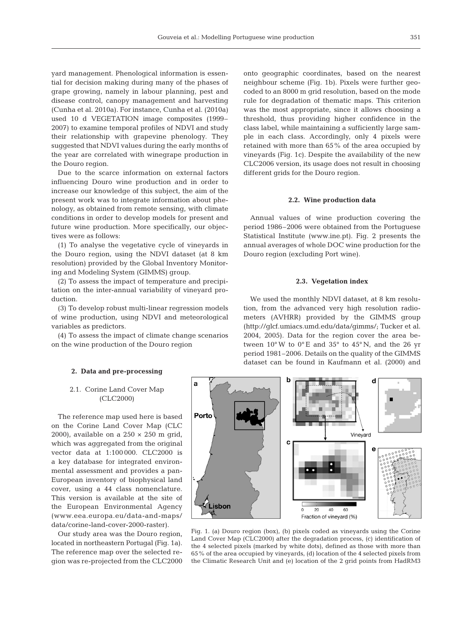yard management. Phenological information is essential for decision making during many of the phases of grape growing, namely in labour planning, pest and disease control, canopy management and harvesting (Cunha et al. 2010a). For instance, Cunha et al. (2010a) used 10 d VEGETATION image composites (1999– 2007) to examine temporal profiles of NDVI and study their relationship with grapevine phenology. They suggested that NDVI values during the early months of the year are correlated with winegrape production in the Douro region.

Due to the scarce information on external factors influencing Douro wine production and in order to increase our knowledge of this subject, the aim of the present work was to integrate information about phenology, as obtained from remote sensing, with climate conditions in order to develop models for present and future wine production. More specifically, our objectives were as follows:

(1) To analyse the vegetative cycle of vineyards in the Douro region, using the NDVI dataset (at 8 km resolution) provided by the Global Inventory Monitoring and Modeling System (GIMMS) group.

(2) To assess the impact of temperature and precipitation on the inter-annual variability of vineyard production.

(3) To develop robust multi-linear regression models of wine production, using NDVI and meteorological variables as predictors.

(4) To assess the impact of climate change scenarios on the wine production of the Douro region

onto geographic coordinates, based on the nearest neighbour scheme (Fig. 1b). Pixels were further geocoded to an 8000 m grid resolution, based on the mode rule for degradation of thematic maps. This criterion was the most appropriate, since it allows choosing a threshold, thus providing higher confidence in the class label, while maintaining a sufficiently large sample in each class. Accordingly, only 4 pixels were retained with more than 65% of the area occupied by vineyards (Fig. 1c). Despite the availability of the new CLC2006 version, its usage does not result in choosing different grids for the Douro region.

#### **2.2. Wine production data**

Annual values of wine production covering the period 1986–2006 were obtained from the Portuguese Statistical Institute (www.ine.pt). Fig. 2 presents the annual averages of whole DOC wine production for the Douro region (excluding Port wine).

#### **2.3. Vegetation index**

We used the monthly NDVI dataset, at 8 km resolution, from the advanced very high resolution radiometers (AVHRR) provided by the GIMMS group (http://glcf.umiacs.umd.edu/data/gimms/; Tucker et al. 2004, 2005). Data for the region cover the area be tween  $10^{\circ}$ W to  $0^{\circ}$ E and  $35^{\circ}$  to  $45^{\circ}$ N, and the 26 yr period 1981–2006. Details on the quality of the GIMMS dataset can be found in Kaufmann et al. (2000) and

## **2. Data and pre-processing**

## 2.1. Corine Land Cover Map (CLC2000)

The reference map used here is based on the Corine Land Cover Map (CLC 2000), available on a  $250 \times 250$  m grid, which was aggregated from the original vector data at 1:100 000. CLC2000 is a key database for integrated environmental assessment and provides a pan-European inventory of biophysical land cover, using a 44 class nomenclature. This version is available at the site of the European Environmental Agency (www. eea.europa.eu/data-and-maps/ data/corine-land-cover-2000-raster).

Our study area was the Douro region, located in northeastern Portugal (Fig. 1a). The reference map over the selected region was re-projected from the CLC2000



Fig. 1. (a) Douro region (box), (b) pixels coded as vineyards using the Corine Land Cover Map (CLC2000) after the degradation process, (c) identification of the 4 selected pixels (marked by white dots), defined as those with more than 65% of the area occupied by vineyards, (d) location of the 4 selected pixels from the Climatic Research Unit and (e) location of the 2 grid points from HadRM3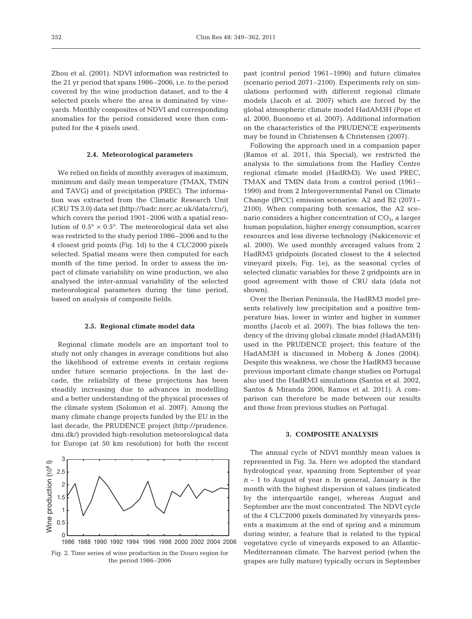Zhou et al. (2001). NDVI information was restricted to the 21 yr period that spans 1986–2006, i.e. to the period covered by the wine production dataset, and to the 4 selected pixels where the area is dominated by vineyards. Monthly composites of NDVI and corresponding anomalies for the period considered were then computed for the 4 pixels used.

#### **2.4. Meteorological parameters**

We relied on fields of monthly averages of maximum, minimum and daily mean temperature (TMAX, TMIN and TAVG) and of precipitation (PREC). The information was extracted from the Climatic Research Unit (CRU TS 3.0) data set (http://badc.nerc.ac.uk/data/cru/), which covers the period 1901–2006 with a spatial resolution of  $0.5^{\circ} \times 0.5^{\circ}$ . The meteorological data set also was restricted to the study period 1986–2006 and to the 4 closest grid points (Fig. 1d) to the 4 CLC2000 pixels selected. Spatial means were then computed for each month of the time period. In order to assess the impact of climate variability on wine production, we also analysed the inter-annual variability of the selected meteorological parameters during the time period, based on analysis of composite fields.

## **2.5. Regional climate model data**

Regional climate models are an important tool to study not only changes in average conditions but also the likelihood of extreme events in certain regions under future scenario projections. In the last decade, the reliability of these projections has been steadily increasing due to advances in modelling and a better understanding of the physical processes of the climate system (Solomon et al. 2007). Among the many climate change projects funded by the EU in the last decade, the PRUDENCE project (http://prudence. dmi.dk/) provided high-resolution meteorological data for Europe (at 50 km resolution) for both the recent



past (control period 1961–1990) and future climates (scenario period 2071–2100). Experiments rely on simulations performed with different regional climate models (Jacob et al. 2007) which are forced by the global atmospheric climate model HadAM3H (Pope et al. 2000, Buonomo et al. 2007). Additional information on the characteristics of the PRUDENCE experiments may be found in Christensen & Christensen (2007).

Following the approach used in a companion paper (Ramos et al. 2011, this Special), we restricted the analysis to the simulations from the Hadley Centre regional climate model (HadRM3). We used PREC, TMAX and TMIN data from a control period (1961– 1990) and from 2 Intergovernmental Panel on Climate Change (IPCC) emission scenarios: A2 and B2 (2071– 2100). When comparing both scenarios, the A2 scenario considers a higher concentration of  $CO<sub>2</sub>$ , a larger human population, higher energy consumption, scarcer resources and less diverse technology (Nakicenovic et al. 2000). We used monthly averaged values from 2 HadRM3 gridpoints (located closest to the 4 selected vineyard pixels; Fig. 1e), as the seasonal cycles of selected climatic variables for these 2 gridpoints are in good agreement with those of CRU data (data not shown).

Over the Iberian Peninsula, the HadRM3 model presents relatively low precipitation and a positive temperature bias, lower in winter and higher in summer months (Jacob et al. 2007). The bias follows the tendency of the driving global climate model (HadAM3H) used in the PRUDENCE project; this feature of the HadAM3H is discussed in Moberg & Jones (2004). Despite this weakness, we chose the HadRM3 because previous important climate change studies on Portugal also used the HadRM3 simulations (Santos et al. 2002, Santos & Miranda 2006, Ramos et al. 2011). A comparison can therefore be made between our results and those from previous studies on Portugal.

## **3. COMPOSITE ANALYSIS**

The annual cycle of NDVI monthly mean values is represented in Fig. 3a. Here we adopted the standard hydrological year, spanning from September of year *n* – 1 to August of year *n*. In general, January is the month with the highest dispersion of values (indicated by the interquartile range), whereas August and September are the most concentrated. The NDVI cycle of the 4 CLC2000 pixels dominated by vineyards presents a maximum at the end of spring and a minimum during winter, a feature that is related to the typical vegetative cycle of vineyards exposed to an Atlantic-Mediterranean climate. The harvest period (when the grapes are fully mature) typically occurs in September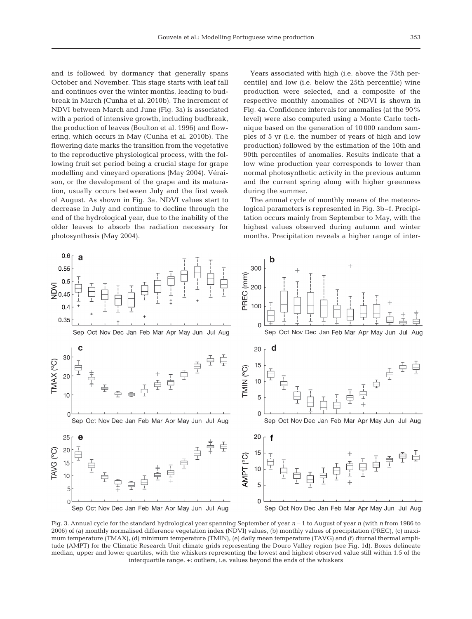and is followed by dormancy that generally spans October and November. This stage starts with leaf fall and continues over the winter months, leading to budbreak in March (Cunha et al. 2010b). The increment of NDVI between March and June (Fig. 3a) is associated with a period of intensive growth, including budbreak, the production of leaves (Boulton et al. 1996) and flowering, which occurs in May (Cunha et al. 2010b). The flowering date marks the transition from the vegetative to the reproductive physiological process, with the following fruit set period being a crucial stage for grape modelling and vineyard operations (May 2004). Véraison, or the development of the grape and its maturation, usually occurs between July and the first week of August. As shown in Fig. 3a, NDVI values start to decrease in July and continue to decline through the end of the hydrological year, due to the inability of the older leaves to absorb the radiation necessary for photosynthesis (May 2004).

Years associated with high (i.e. above the 75th percentile) and low (i.e. below the 25th percentile) wine production were selected, and a composite of the respective monthly anomalies of NDVI is shown in Fig. 4a. Confidence intervals for anomalies (at the 90% level) were also computed using a Monte Carlo technique based on the generation of 10 000 random samples of 5 yr (i.e. the number of years of high and low production) followed by the estimation of the 10th and 90th percentiles of anomalies. Results indicate that a low wine production year corresponds to lower than normal photosynthetic activity in the previous autumn and the current spring along with higher greenness during the summer.

The annual cycle of monthly means of the meteorological parameters is represented in Fig. 3b–f. Precipitation occurs mainly from September to May, with the highest values observed during autumn and winter months. Precipitation reveals a higher range of inter-



Fig. 3. Annual cycle for the standard hydrological year spanning September of year *n* – 1 to August of year *n* (with *n* from 1986 to 2006) of (a) monthly normalised difference vegetation index (NDVI) values, (b) monthly values of precipitation (PREC), (c) maximum temperature (TMAX), (d) minimum temperature (TMIN), (e) daily mean temperature (TAVG) and (f) diurnal thermal amplitude (AMPT) for the Climatic Research Unit climate grids representing the Douro Valley region (see Fig. 1d). Boxes delineate median, upper and lower quartiles, with the whiskers representing the lowest and highest observed value still within 1.5 of the interquartile range. +: outliers, i.e. values beyond the ends of the whiskers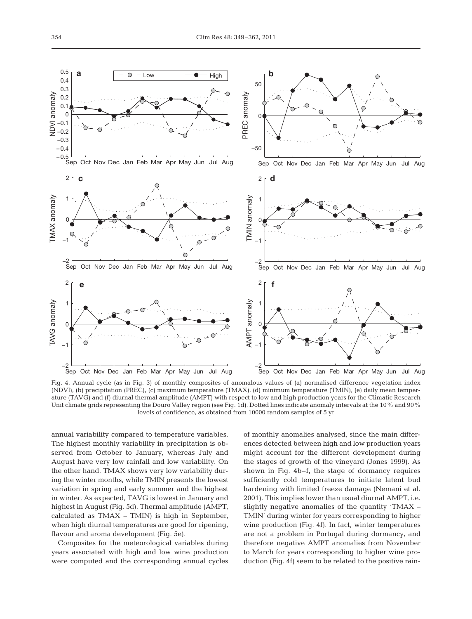

Fig. 4. Annual cycle (as in Fig. 3) of monthly composites of anomalous values of (a) normalised difference vegetation index (NDVI), (b) precipitation (PREC), (c) maximum temperature (TMAX), (d) minimum temperature (TMIN), (e) daily mean temperature (TAVG) and (f) diurnal thermal amplitude (AMPT) with respect to low and high production years for the Climatic Research Unit climate grids representing the Douro Valley region (see Fig. 1d). Dotted lines indicate anomaly intervals at the 10% and 90% levels of confidence, as obtained from 10000 random samples of 5 yr

annual variability compared to temperature variables. The highest monthly variability in precipitation is observed from October to January, whereas July and August have very low rainfall and low variability. On the other hand, TMAX shows very low variability during the winter months, while TMIN presents the lowest variation in spring and early summer and the highest in winter. As expected, TAVG is lowest in January and highest in August (Fig. 5d). Thermal amplitude (AMPT, calculated as TMAX – TMIN) is high in September, when high diurnal temperatures are good for ripening, flavour and aroma development (Fig. 5e).

Composites for the meteorological variables during years associated with high and low wine production were computed and the corresponding annual cycles of monthly anomalies analysed, since the main differences detected between high and low production years might account for the different development during the stages of growth of the vineyard (Jones 1999). As shown in Fig. 4b–f, the stage of dormancy requires sufficiently cold temperatures to initiate latent bud hardening with limited freeze damage (Nemani et al. 2001). This implies lower than usual diurnal AMPT, i.e. slightly negative anomalies of the quantity 'TMAX – TMIN' during winter for years corresponding to higher wine production (Fig. 4f). In fact, winter temperatures are not a problem in Portugal during dormancy, and therefore negative AMPT anomalies from November to March for years corresponding to higher wine production (Fig. 4f) seem to be related to the positive rain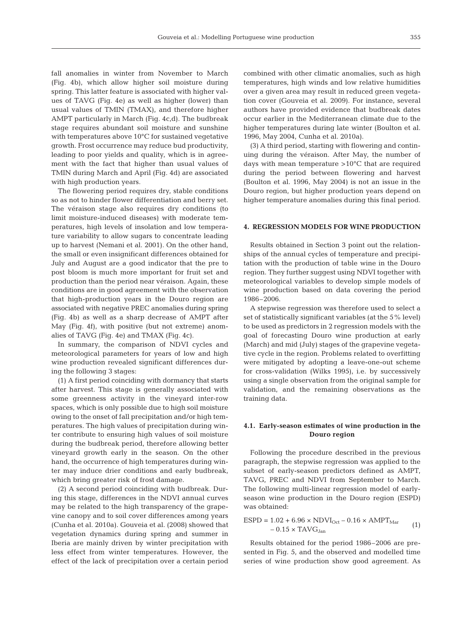fall anomalies in winter from November to March (Fig. 4b), which allow higher soil moisture during spring. This latter feature is associated with higher values of TAVG (Fig. 4e) as well as higher (lower) than usual values of TMIN (TMAX), and therefore higher AMPT particularly in March (Fig. 4c,d). The budbreak stage requires abundant soil moisture and sunshine with temperatures above 10°C for sustained vegetative growth. Frost occurrence may reduce bud productivity, leading to poor yields and quality, which is in agreement with the fact that higher than usual values of TMIN during March and April (Fig. 4d) are associated with high production years.

The flowering period requires dry, stable conditions so as not to hinder flower differentiation and berry set. The véraison stage also requires dry conditions (to limit moisture-induced diseases) with moderate temperatures, high levels of insolation and low temperature variability to allow sugars to concentrate leading up to harvest (Nemani et al. 2001). On the other hand, the small or even insignificant differences obtained for July and August are a good indicator that the pre to post bloom is much more important for fruit set and production than the period near véraison. Again, these conditions are in good agreement with the observation that high-production years in the Douro region are associated with negative PREC anomalies during spring (Fig. 4b) as well as a sharp decrease of AMPT after May (Fig. 4f), with positive (but not extreme) anomalies of TAVG (Fig. 4e) and TMAX (Fig. 4c).

In summary, the comparison of NDVI cycles and meteorological parameters for years of low and high wine production revealed significant differences during the following 3 stages:

(1) A first period coinciding with dormancy that starts after harvest. This stage is generally associated with some greenness activity in the vineyard inter-row spaces, which is only possible due to high soil moisture owing to the onset of fall precipitation and/or high temperatures. The high values of precipitation during winter contribute to ensuring high values of soil moisture during the budbreak period, therefore allowing better vineyard growth early in the season. On the other hand, the occurrence of high temperatures during winter may induce drier conditions and early budbreak, which bring greater risk of frost damage.

(2) A second period coinciding with budbreak. During this stage, differences in the NDVI annual curves may be related to the high transparency of the grape vine canopy and to soil cover differences among years (Cunha et al. 2010a). Gouveia et al. (2008) showed that vegetation dynamics during spring and summer in Iberia are mainly driven by winter precipitation with less effect from winter temperatures. However, the effect of the lack of precipitation over a certain period

combined with other climatic anomalies, such as high temperatures, high winds and low relative humidities over a given area may result in reduced green vegetation cover (Gouveia et al. 2009). For instance, several authors have provided evidence that budbreak dates occur earlier in the Mediterranean climate due to the higher temperatures during late winter (Boulton et al. 1996, May 2004, Cunha et al. 2010a).

(3) A third period, starting with flowering and continuing during the véraison. After May, the number of days with mean temperature >10°C that are required during the period between flowering and harvest (Boulton et al. 1996, May 2004) is not an issue in the Douro region, but higher production years depend on higher temperature anomalies during this final period.

## **4. REGRESSION MODELS FOR WINE PRODUCTION**

Results obtained in Section 3 point out the relationships of the annual cycles of temperature and precipitation with the production of table wine in the Douro region. They further suggest using NDVI together with meteorological variables to develop simple models of wine production based on data covering the period 1986–2006.

A stepwise regression was therefore used to select a set of statistically significant variables (at the 5% level) to be used as predictors in 2 regression models with the goal of forecasting Douro wine production at early (March) and mid (July) stages of the grapevine vegetative cycle in the region. Problems related to overfitting were mitigated by adopting a leave-one-out scheme for cross-validation (Wilks 1995), i.e. by successively using a single observation from the original sample for validation, and the remaining observations as the training data.

# **4.1. Early-season estimates of wine production in the Douro region**

Following the procedure described in the previous paragraph, the stepwise regression was applied to the subset of early-season predictors defined as AMPT, TAVG, PREC and NDVI from September to March. The following multi-linear regression model of earlyseason wine production in the Douro region (ESPD) was obtained:

$$
ESPD = 1.02 + 6.96 \times \text{NDVI}_{\text{Oct}} - 0.16 \times \text{AMPT}_{\text{Mar}} \tag{1}
$$

$$
-0.15 \times \text{TAVG}_{\text{Jan}}
$$

Results obtained for the period 1986–2006 are presented in Fig. 5, and the observed and modelled time series of wine production show good agreement. As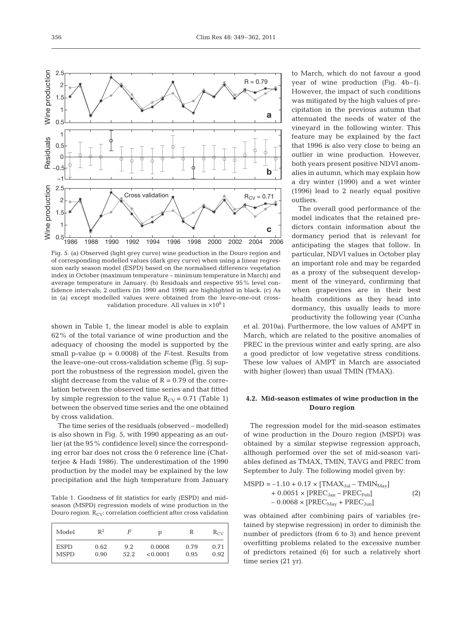

Fig. 5. (a) Observed (light grey curve) wine production in the Douro region and of corresponding modelled values (dark grey curve) when using a linear regression early season model (ESPD) based on the normalised difference vegetation index in October (maximum temperature – minimum temperature in March) and average temperature in January. (b) Residuals and respective 95% level con fidence intervals; 2 outliers (in 1990 and 1998) are highlighted in black. (c) As in (a) except modelled values were obtained from the leave-one-out crossvalidation procedure. All values in  $\times 10^8$  l

shown in Table 1, the linear model is able to explain 62% of the total variance of wine production and the adequacy of choosing the model is supported by the small p-value ( $p = 0.0008$ ) of the *F*-test. Results from the leave-one-out cross-validation scheme (Fig. 5) support the robustness of the regression model, given the slight decrease from the value of  $R = 0.79$  of the correlation between the observed time series and that fitted by simple regression to the value  $R_{CV} = 0.71$  (Table 1) between the observed time series and the one obtained by cross validation.

The time series of the residuals (observed – modelled) is also shown in Fig. 5, with 1990 appearing as an outlier (at the 95% confidence level) since the corresponding error bar does not cross the 0 reference line (Chatterjee & Hadi 1986). The underestimation of the 1990 production by the model may be explained by the low precipitation and the high temperature from January

Table 1. Goodness of fit statistics for early (ESPD) and midseason (MSPD) regression models of wine production in the Douro region.  $R_{CV}$ : correlation coefficient after cross validation

| Model       | $\mathbb{R}^2$ | F    | р        | R    | $R_{CV}$ |
|-------------|----------------|------|----------|------|----------|
| <b>ESPD</b> | 0.62           | 9.2  | 0.0008   | 0.79 | 0.71     |
| <b>MSPD</b> | 0.90           | 52.2 | < 0.0001 | 0.95 | 0.92     |

to March, which do not favour a good year of wine production (Fig. 4b–f). However, the impact of such conditions was mitigated by the high values of precipitation in the previous autumn that attenuated the needs of water of the vineyard in the following winter. This feature may be explained by the fact that 1996 is also very close to being an outlier in wine production. However, both years present positive NDVI anomalies in autumn, which may explain how a dry winter (1990) and a wet winter (1996) lead to 2 nearly equal positive outliers.

The overall good performance of the model indicates that the retained predictors contain information about the dormancy period that is relevant for anticipating the stages that follow. In particular, NDVI values in October play an important role and may be regarded as a proxy of the subsequent development of the vineyard, confirming that when grapevines are in their best health conditions as they head into dormancy, this usually leads to more productivity the following year (Cunha

et al. 2010a). Furthermore, the low values of AMPT in March, which are related to the positive anomalies of PREC in the previous winter and early spring, are also a good predictor of low vegetative stress conditions. These low values of AMPT in March are associated with higher (lower) than usual TMIN (TMAX).

# **4.2. Mid-season estimates of wine production in the Douro region**

The regression model for the mid-season estimates of wine production in the Douro region (MSPD) was obtained by a similar stepwise regression approach, although performed over the set of mid-season variables defined as TMAX, TMIN, TAVG and PREC from September to July. The following model given by:

$$
MSPD = -1.10 + 0.17 \times [TMAX_{\text{Jul}} - TMIN_{\text{May}}] + 0.0051 \times [PREC_{\text{Jan}} - PREC_{\text{Feb}}] - 0.0068 \times [PREC_{\text{May}} + PREC_{\text{Jun}}]
$$
(2)

was obtained after combining pairs of variables (retained by stepwise regression) in order to diminish the number of predictors (from 6 to 3) and hence prevent overfitting problems related to the excessive number of predictors retained (6) for such a relatively short time series (21 yr).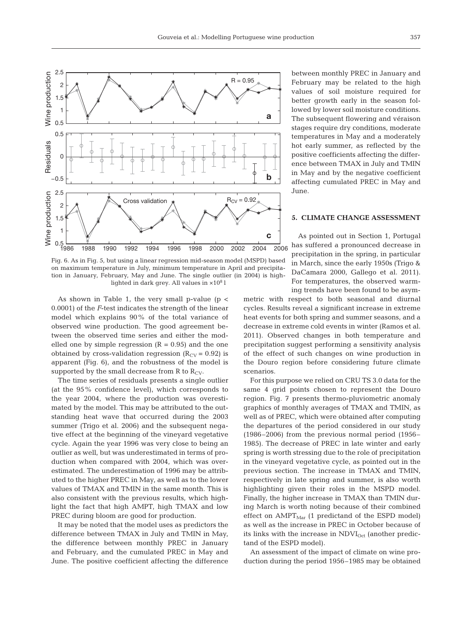

Fig. 6. As in Fig. 5, but using a linear regression mid-season model (MSPD) based on maximum temperature in July, minimum temperature in April and precipitation in January, February, May and June. The single outlier (in 2004) is highlighted in dark grey. All values in  $\times 10^8$  l

As shown in Table 1, the very small p-value ( $p <$ 0.0001) of the *F*-test indicates the strength of the linear model which explains 90% of the total variance of observed wine production. The good agreement be tween the observed time series and either the modelled one by simple regression  $(R = 0.95)$  and the one obtained by cross-validation regression  $(R<sub>CV</sub> = 0.92)$  is apparent (Fig. 6), and the robustness of the model is supported by the small decrease from R to  $R_{CV}$ .

The time series of residuals presents a single outlier (at the 95% confidence level), which corresponds to the year 2004, where the production was overestimated by the model. This may be attributed to the outstanding heat wave that occurred during the 2003 summer (Trigo et al. 2006) and the subsequent negative effect at the beginning of the vineyard vegetative cycle. Again the year 1996 was very close to being an outlier as well, but was underestimated in terms of production when compared with 2004, which was overestimated. The underestimation of 1996 may be attributed to the higher PREC in May, as well as to the lower values of TMAX and TMIN in the same month. This is also consistent with the previous results, which highlight the fact that high AMPT, high TMAX and low PREC during bloom are good for production.

It may be noted that the model uses as predictors the difference between TMAX in July and TMIN in May, the difference between monthly PREC in January and February, and the cumulated PREC in May and June. The positive coefficient affecting the difference between monthly PREC in January and February may be related to the high values of soil moisture required for better growth early in the season followed by lower soil moisture conditions. The subsequent flowering and véraison stages require dry conditions, moderate temperatures in May and a moderately hot early summer, as reflected by the positive coefficients affecting the difference between TMAX in July and TMIN in May and by the negative coefficient affecting cumulated PREC in May and June.

## **5. CLIMATE CHANGE ASSESSMENT**

As pointed out in Section 1, Portugal has suffered a pronounced decrease in precipitation in the spring, in particular in March, since the early 1950s (Trigo & DaCamara 2000, Gallego et al. 2011). For temperatures, the observed warming trends have been found to be asym-

metric with respect to both seasonal and diurnal cycles. Results reveal a significant increase in extreme heat events for both spring and summer seasons, and a decrease in extreme cold events in winter (Ramos et al. 2011). Observed changes in both temperature and precipitation suggest performing a sensitivity analysis of the effect of such changes on wine production in the Douro region before considering future climate scenarios.

For this purpose we relied on CRU TS 3.0 data for the same 4 grid points chosen to represent the Douro region. Fig. 7 presents thermo-pluviometric anomaly graphics of monthly averages of TMAX and TMIN, as well as of PREC, which were obtained after computing the departures of the period considered in our study (1986–2006) from the previous normal period (1956– 1985). The decrease of PREC in late winter and early spring is worth stressing due to the role of precipitation in the vineyard vegetative cycle, as pointed out in the previous section. The increase in TMAX and TMIN, respectively in late spring and summer, is also worth highlighting given their roles in the MSPD model. Finally, the higher increase in TMAX than TMIN during March is worth noting because of their combined effect on  $AMPT<sub>Mar</sub>$  (1 predictand of the ESPD model) as well as the increase in PREC in October because of its links with the increase in  $NDVI<sub>Oct</sub>$  (another predictand of the ESPD model).

An assessment of the impact of climate on wine production during the period 1956–1985 may be obtained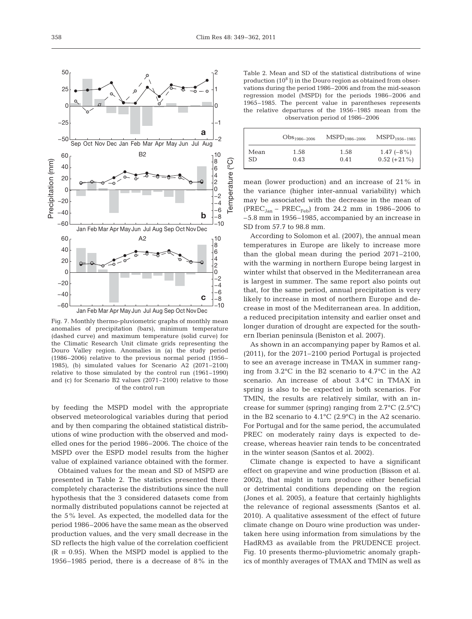Fig. 7. Monthly thermo-pluviometric graphs of monthly mean anomalies of precipitation (bars), minimum temperature (dashed curve) and maximum temperature (solid curve) for the Climatic Research Unit climate grids representing the Douro Valley region. Anomalies in (a) the study period (1986–2006) relative to the previous normal period (1956– 1985), (b) simulated values for Scenario A2 (2071–2100) relative to those simulated by the control run (1961–1990) and (c) for Scenario B2 values (2071–2100) relative to those of the control run

by feeding the MSPD model with the appropriate observed meteorological variables during that period and by then comparing the obtained statistical distributions of wine production with the observed and modelled ones for the period 1986–2006. The choice of the MSPD over the ESPD model results from the higher value of explained variance obtained with the former.

Obtained values for the mean and SD of MSPD are presented in Table 2. The statistics presented there completely characterise the distributions since the null hypothesis that the 3 considered datasets come from normally distributed populations cannot be rejected at the 5% level. As expected, the modelled data for the period 1986–2006 have the same mean as the observed production values, and the very small decrease in the SD reflects the high value of the correlation coefficient  $(R = 0.95)$ . When the MSPD model is applied to the 1956–1985 period, there is a decrease of 8% in the

Table 2. Mean and SD of the statistical distributions of wine production  $(10^8 \text{ I})$  in the Douro region as obtained from observations during the period 1986–2006 and from the mid-season regression model (MSPD) for the periods 1986–2006 and 1965–1985. The percent value in parentheses represents the relative departures of the 1956–1985 mean from the observation period of 1986–2006

|      | $\mathrm{Obs}_{1986-2006}$ | $\mathrm{MSPD}_{1986-2006}$ | $\mathrm{MSPD}_{1956-1985}$ |
|------|----------------------------|-----------------------------|-----------------------------|
| Mean | 1.58                       | 1.58                        | $1.47$ (-8%)                |
| SD   | 0.43                       | 0.41                        | $0.52 (+21%)$               |

mean (lower production) and an increase of 21% in the variance (higher inter-annual variability) which may be associated with the decrease in the mean of (PREC<sub>Jan</sub> – PREC<sub>Feb</sub>) from 24.2 mm in 1986–2006 to –5.8 mm in 1956–1985, accompanied by an increase in SD from 57.7 to 98.8 mm.

According to Solomon et al. (2007), the annual mean temperatures in Europe are likely to increase more than the global mean during the period 2071–2100, with the warming in northern Europe being largest in winter whilst that observed in the Mediterranean area is largest in summer. The same report also points out that, for the same period, annual precipitation is very likely to increase in most of northern Europe and decrease in most of the Mediterranean area. In addition, a reduced precipitation intensity and earlier onset and longer duration of drought are expected for the southern Iberian peninsula (Beniston et al. 2007).

As shown in an accompanying paper by Ramos et al. (2011), for the 2071–2100 period Portugal is projected to see an average increase in TMAX in summer ranging from 3.2°C in the B2 scenario to 4.7°C in the A2 scenario. An increase of about 3.4°C in TMAX in spring is also to be expected in both scenarios. For TMIN, the results are relatively similar, with an increase for summer (spring) ranging from 2.7°C (2.5°C) in the B2 scenario to 4.1°C (2.9°C) in the A2 scenario. For Portugal and for the same period, the accumulated PREC on moderately rainy days is expected to decrease, whereas heavier rain tends to be concentrated in the winter season (Santos et al. 2002).

Climate change is expected to have a significant effect on grapevine and wine production (Bisson et al. 2002), that might in turn produce either beneficial or detrimental conditions depending on the region (Jones et al. 2005), a feature that certainly highlights the relevance of regional assessments (Santos et al. 2010). A qualitative assessment of the effect of future climate change on Douro wine production was undertaken here using information from simulations by the HadRM3 as available from the PRUDENCE project. Fig. 10 presents thermo-pluviometric anomaly graphics of monthly averages of TMAX and TMIN as well as

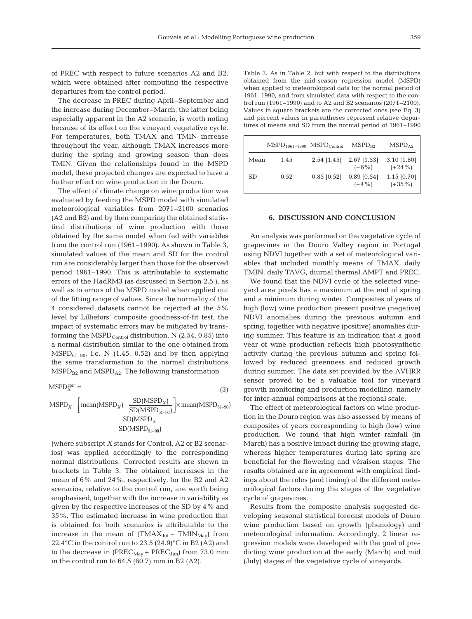of PREC with respect to future scenarios A2 and B2, which were obtained after computing the respective departures from the control period.

The decrease in PREC during April–September and the increase during December–March, the latter being especially apparent in the A2 scenario, is worth noting because of its effect on the vineyard vegetative cycle. For temperatures, both TMAX and TMIN increase throughout the year, although TMAX increases more during the spring and growing season than does TMIN. Given the relationships found in the MSPD model, these projected changes are expected to have a further effect on wine production in the Douro.

The effect of climate change on wine production was evaluated by feeding the MSPD model with simulated meteorological variables from 2071–2100 scenarios (A2 and B2) and by then comparing the obtained statistical distributions of wine production with those obtained by the same model when fed with variables from the control run (1961–1990). As shown in Table 3, simulated values of the mean and SD for the control run are considerably larger than those for the observed period 1961–1990. This is attributable to systematic errors of the HadRM3 (as discussed in Section 2.5.), as well as to errors of the MSPD model when applied out of the fitting range of values. Since the normality of the 4 considered datasets cannot be rejected at the 5% level by Lilliefors' composite goodness-of-fit test, the impact of systematic errors may be mitigated by transforming the  $\text{MSPD}_{\text{Control}}$  distribution, N (2.54, 0.85) into a normal distribution similar to the one obtained from  $\text{MSPD}_{61-90}$ , i.e. N (1.45, 0.52) and by then applying the same transformation to the normal distributions  $MSPD_{B2}$  and  $MSPD_{A2}$ . The following transformation

(3)  $\text{MSPD}_{X}^{\text{corr}} =$ 

$$
MSPD_X - \left[ \frac{\text{mean}(MSPD_X) - \frac{\text{SD}(MSPD_X)}{\text{SD}(MSPD_{61-90})}}{\text{SD}(MSPD_{61-90})} \right] \times \text{mean}(MSPD_{61-90})
$$
  

$$
\frac{\text{SD}(MSPD_X)}{\text{SD}(MSPD_{61-90})}
$$

(where subscript *X* stands for Control, A2 or B2 scenarios) was applied accordingly to the corresponding normal distributions. Corrected results are shown in brackets in Table 3. The obtained increases in the mean of 6% and 24%, respectively, for the B2 and A2 scenarios, relative to the control run, are worth being emphasised, together with the increase in variability as given by the respective increases of the SD by 4% and 35%. The estimated increase in wine production that is obtained for both scenarios is attributable to the increase in the mean of  $(TMAX_{\text{Jul}} - TMIN_{\text{May}})$  from 22.4°C in the control run to 23.5 (24.9)°C in B2 (A2) and to the decrease in  $(PREC_{May} + PREC_{Jun})$  from 73.0 mm in the control run to 64.5 (60.7) mm in B2 (A2).

Table 3. As in Table 2, but with respect to the distributions obtained from the mid-season regression model (MSPD) when applied to meteorological data for the normal period of 1961–1990, and from simulated data with respect to the control run (1961–1990) and to A2 and B2 scenarios (2071–2100). Values in square brackets are the corrected ones (see Eq. 3) and percent values in parentheses represent relative departures of means and SD from the normal period of 1961–1990

|      | $\text{MSPD}_{1961-1990}$ $\text{MSPD}_{\text{Control}}$ |               | $\text{MSPD}_{\text{R2}}$ | $\text{MSPD}_{42}$         |
|------|----------------------------------------------------------|---------------|---------------------------|----------------------------|
| Mean | 1.45                                                     | $2.54$ [1.45] | $2.67$ [1.53]<br>$(+6%)$  | $3.10$ [1.80]<br>$(+24\%)$ |
| SD.  | 0.52                                                     | $0.85$ [0.52] | $0.89$ [0.54]<br>$(+4%)$  | $1.15$ [0.70]<br>$(+35\%)$ |

### **6. DISCUSSION AND CONCLUSION**

An analysis was performed on the vegetative cycle of grapevines in the Douro Valley region in Portugal using NDVI together with a set of meteorological variables that included monthly means of TMAX, daily TMIN, daily TAVG, diurnal thermal AMPT and PREC.

We found that the NDVI cycle of the selected vineyard area pixels has a maximum at the end of spring and a minimum during winter. Composites of years of high (low) wine production present positive (negative) NDVI anomalies during the previous autumn and spring, together with negative (positive) anomalies during summer. This feature is an indication that a good year of wine production reflects high photosynthetic activity during the previous autumn and spring followed by reduced greenness and reduced growth during summer. The data set provided by the AVHRR sensor proved to be a valuable tool for vineyard growth monitoring and production modelling, namely for inter-annual comparisons at the regional scale.

The effect of meteorological factors on wine production in the Douro region was also assessed by means of composites of years corresponding to high (low) wine production. We found that high winter rainfall (in March) has a positive impact during the growing stage, whereas higher temperatures during late spring are beneficial for the flowering and véraison stages. The results obtained are in agreement with empirical findings about the roles (and timing) of the different meteorological factors during the stages of the vegetative cycle of grapevines.

Results from the composite analysis suggested de veloping seasonal statistical forecast models of Douro wine production based on growth (phenology) and meteorological information. Accordingly, 2 linear regression models were developed with the goal of predicting wine production at the early (March) and mid (July) stages of the vegetative cycle of vineyards.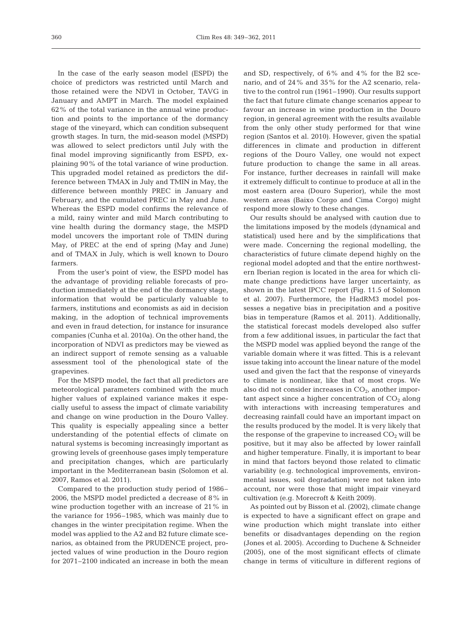In the case of the early season model (ESPD) the choice of predictors was restricted until March and those retained were the NDVI in October, TAVG in January and AMPT in March. The model explained 62% of the total variance in the annual wine production and points to the importance of the dormancy stage of the vineyard, which can condition subsequent growth stages. In turn, the mid-season model (MSPD) was allowed to select predictors until July with the final model improving significantly from ESPD, explaining 90% of the total variance of wine production. This upgraded model retained as predictors the difference between TMAX in July and TMIN in May, the difference between monthly PREC in January and February, and the cumulated PREC in May and June. Whereas the ESPD model confirms the relevance of a mild, rainy winter and mild March contributing to vine health during the dormancy stage, the MSPD model uncovers the important role of TMIN during May, of PREC at the end of spring (May and June) and of TMAX in July, which is well known to Douro farmers.

From the user's point of view, the ESPD model has the advantage of providing reliable forecasts of production immediately at the end of the dormancy stage, information that would be particularly valuable to farmers, institutions and economists as aid in decision making, in the adoption of technical improvements and even in fraud detection, for instance for insurance companies (Cunha et al. 2010a). On the other hand, the incorporation of NDVI as predictors may be viewed as an indirect support of remote sensing as a valuable assessment tool of the phenological state of the grapevines.

For the MSPD model, the fact that all predictors are meteorological parameters combined with the much higher values of explained variance makes it especially useful to assess the impact of climate variability and change on wine production in the Douro Valley. This quality is especially appealing since a better understanding of the potential effects of climate on natural systems is becoming increasingly important as growing levels of greenhouse gases imply temperature and precipitation changes, which are particularly important in the Mediterranean basin (Solomon et al. 2007, Ramos et al. 2011).

Compared to the production study period of 1986– 2006, the MSPD model predicted a decrease of 8% in wine production together with an increase of 21% in the variance for 1956–1985, which was mainly due to changes in the winter precipitation regime. When the model was applied to the A2 and B2 future climate scenarios, as obtained from the PRUDENCE project, projected values of wine production in the Douro region for 2071–2100 indicated an increase in both the mean

and SD, respectively, of 6% and 4% for the B2 scenario, and of 24% and 35% for the A2 scenario, relative to the control run (1961–1990). Our results support the fact that future climate change scenarios appear to favour an increase in wine production in the Douro region, in general agreement with the results available from the only other study performed for that wine region (Santos et al. 2010). However, given the spatial differences in climate and production in different regions of the Douro Valley, one would not expect future production to change the same in all areas. For instance, further decreases in rainfall will make it extremely difficult to continue to produce at all in the most eastern area (Douro Superior), while the most western areas (Baixo Corgo and Cima Corgo) might respond more slowly to these changes.

Our results should be analysed with caution due to the limitations imposed by the models (dynamical and statistical) used here and by the simplifications that were made. Concerning the regional modelling, the characteristics of future climate depend highly on the regional model adopted and that the entire northwestern Iberian region is located in the area for which climate change predictions have larger uncertainty, as shown in the latest IPCC report (Fig. 11.5 of Solomon et al. 2007). Furthermore, the HadRM3 model possesses a negative bias in precipitation and a positive bias in temperature (Ramos et al. 2011). Additionally, the statistical forecast models developed also suffer from a few additional issues, in particular the fact that the MSPD model was applied beyond the range of the variable domain where it was fitted. This is a relevant issue taking into account the linear nature of the model used and given the fact that the response of vineyards to climate is nonlinear, like that of most crops. We also did not consider increases in  $CO<sub>2</sub>$ , another important aspect since a higher concentration of  $CO<sub>2</sub>$  along with interactions with increasing temperatures and decreasing rainfall could have an important impact on the results produced by the model. It is very likely that the response of the grapevine to increased  $CO<sub>2</sub>$  will be positive, but it may also be affected by lower rainfall and higher temperature. Finally, it is important to bear in mind that factors beyond those related to climatic variability (e.g. technological improvements, environmental issues, soil degradation) were not taken into account, nor were those that might impair vineyard cultivation (e.g. Morecroft & Keith 2009).

As pointed out by Bisson et al. (2002), climate change is expected to have a significant effect on grape and wine production which might translate into either benefits or disadvantages depending on the region (Jones et al. 2005). According to Duchene & Schneider (2005), one of the most significant effects of climate change in terms of viticulture in different regions of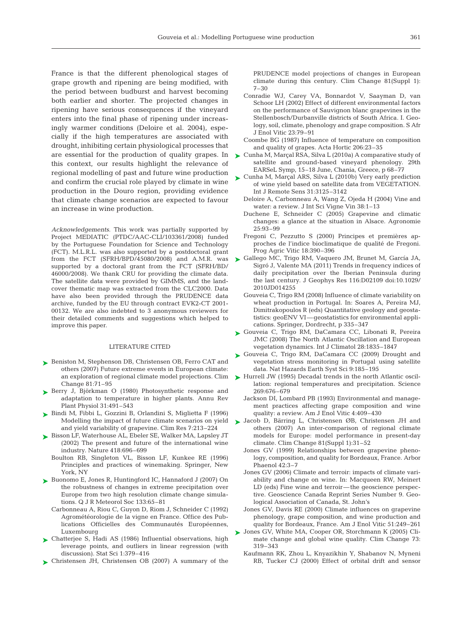France is that the different phenological stages of grape growth and ripening are being modified, with the period between budburst and harvest becoming both earlier and shorter. The projected changes in ripening have serious consequences if the vineyard enters into the final phase of ripening under increasingly warmer conditions (Deloire et al. 2004), especially if the high temperatures are associated with drought, inhibiting certain physiological processes that this context, our results highlight the relevance of regional modelling of past and future wine production and confirm the crucial role played by climate in wine production in the Douro region, providing evidence that climate change scenarios are expected to favour an increase in wine production.

*Acknowledgements*. This work was partially supported by Project MEDIATIC (PTDC/AAC-CLI/103361/2008) funded by the Portuguese Foundation for Science and Technology (FCT). M.L.R.L. was also supported by a postdoctoral grant from the FCT (SFRH/BPD/45080/2008) and A.M.R. was supported by a doctoral grant from the FCT (SFRH/BD/ 46000/2008). We thank CRU for providing the climate data. The satellite data were provided by GIMMS, and the landcover thematic map was extracted from the CLC2000. Data have also been provided through the PRUDENCE data archive, funded by the EU through contract EVK2-CT 2001- 00132. We are also indebted to 3 anonymous reviewers for their detailed comments and suggestions which helped to improve this paper.

#### LITERATURE CITED

- ► Beniston M, Stephenson DB, Christensen OB, Ferro CAT and others (2007) Future extreme events in European climate: an exploration of regional climate model projections. Clim Change 81:71–95
- ► Berry J, Björkman O (1980) Photosynthetic response and adaptation to temperature in higher plants. Annu Rev Plant Physiol 31:491–543
- Bindi M, Fibbi L, Gozzini B, Orlandini S, Miglietta F (1996) ➤ Modelling the impact of future climate scenarios on yield and yield variability of grapevine. Clim Res 7:213–224
- ► Bisson LF, Waterhouse AL, Ebeler SE, Walker MA, Lapsley JT (2002) The present and future of the international wine industry. Nature 418:696–699
	- Boulton RB, Singleton VL, Bisson LF, Kunkee RE (1996) Principles and practices of winemaking. Springer, New York, NY
- ► Buonomo E, Jones R, Huntingford IC, Hannaford J (2007) On the robustness of changes in extreme precipitation over Europe from two high resolution climate change simulations. Q J R Meteorol Soc 133:65–81
	- Carbonneau A, Riou C, Guyon D, Riom J, Schneider C (1992) Agrométéorologie de la vigne en France. Office des Pub lications Officielles des Communautés Européennes, Luxembourg
- ► Chatterjee S, Hadi AS (1986) Influential observations, high leverage points, and outliers in linear regression (with discussion). Stat Sci 1:379–416
- ▶ Christensen JH, Christensen OB (2007) A summary of the

PRUDENCE model projections of changes in European climate during this century. Clim Change 81(Suppl 1): 7–30

- Conradie WJ, Carey VA, Bonnardot V, Saayman D, van Schoor LH (2002) Effect of different environmental factors on the performance of Sauvignon blanc grapevines in the Stellenbosch/Durbanville districts of South Africa. I. Geology, soil, climate, phenology and grape composition. S Afr J Enol Vitic 23:79–91
- Coombe BG (1987) Influence of temperature on composition and quality of grapes. Acta Hortic 206:23–35
- are essential for the production of quality grapes. In  $\triangleright$  Cunha M, Marçal RSA, Silva L (2010a) A comparative study of satellite and ground-based vineyard phenology. 29th EARSeL Symp, 15–18 June, Chania, Greece, p 68–77
	- ► Cunha M, Marçal ARS, Silva L (2010b) Very early prediction of wine yield based on satellite data from VEGETATION. Int J Remote Sens 31:3125–3142
		- Deloire A, Carbonneau A, Wang Z, Ojeda H (2004) Vine and water: a review. J Int Sci Vigne Vin 38:1–13
		- Duchene E, Schneider C (2005) Grapevine and climatic changes: a glance at the situation in Alsace. Agronomie  $25:93 - 99$
		- Fregoni C, Pezzutto S (2000) Principes et premières approches de l'indice bioclimatique de qualité de Fregoni. Prog Agric Vitic 18:390–396
	- ► Gallego MC, Trigo RM, Vaquero JM, Brunet M, García JA, Sigró J, Valente MA (2011) Trends in frequency indices of daily precipitation over the Iberian Peninsula during the last century. J Geophys Res 116:D02109 doi:10.1029/ 2010JD014255
		- Gouveia C, Trigo RM (2008) Influence of climate variability on wheat production in Portugal. In: Soares A, Pereira MJ, Dimitrakopoulos R (eds) Quantitative geology and geostatistics: geoENV VI—geostatistics for environmental applications. Springer, Dordrecht, p 335–347
	- ► Gouveia C, Trigo RM, DaCamara CC, Libonati R, Pereira JMC (2008) The North Atlantic Oscillation and European vegetation dynamics. Int J Climatol 28:1835–1847
	- ► Gouveia C, Trigo RM, DaCamara CC (2009) Drought and vegetation stress monitoring in Portugal using satellite data. Nat Hazards Earth Syst Sci 9:185–195
	- ▶ Hurrell JW (1995) Decadal trends in the north Atlantic oscillation: regional temperatures and precipitation. Science 269: 676–679
		- Jackson DI, Lombard PB (1993) Environmental and management practices affecting grape composition and wine quality: a review. Am J Enol Vitic 4:409–430
	- ▶ Jacob D, Bärring L, Christensen ØB, Christensen JH and others (2007) An inter-comparison of regional climate models for Europe: model performance in present-day climate. Clim Change 81(Suppl 1):31–52
		- Jones GV (1999) Relationships between grapevine phenology, composition, and quality for Bordeaux, France. Arbor Phaenol 42:3–7
		- Jones GV (2006) Climate and terroir: impacts of climate variability and change on wine. In: Macqueen RW, Meinert LD (eds) Fine wine and terroir—the geoscience perspective. Geoscience Canada Reprint Series Number 9. Geological Association of Canada, St. John's
		- Jones GV, Davis RE (2000) Climate influences on grapevine phenology, grape composition, and wine production and quality for Bordeaux, France. Am J Enol Vitic 51:249–261
	- ▶ Jones GV, White MA, Cooper OR, Storchmann K (2005) Climate change and global wine quality. Clim Change 73: 319–343
		- Kaufmann RK, Zhou L, Knyazikhin Y, Shabanov N, Myneni RB, Tucker CJ (2000) Effect of orbital drift and sensor